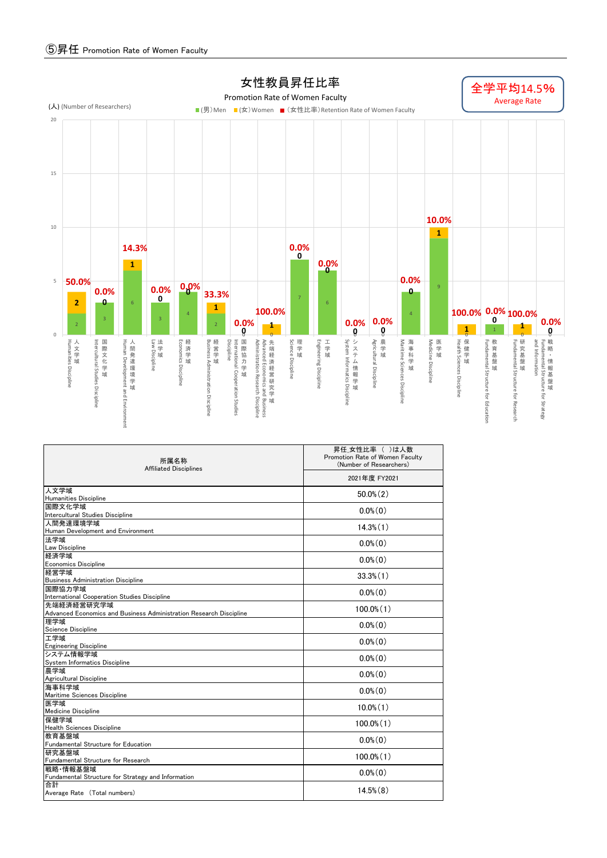

| 所属名称<br><b>Affiliated Disciplines</b>                              | 昇任 女性比率 ( )は人数<br>Promotion Rate of Women Faculty<br>(Number of Researchers)<br>2021年度 FY2021 |  |  |  |  |  |
|--------------------------------------------------------------------|-----------------------------------------------------------------------------------------------|--|--|--|--|--|
|                                                                    |                                                                                               |  |  |  |  |  |
| 人文学域                                                               | $50.0\%$ $(2)$                                                                                |  |  |  |  |  |
| <b>Humanities Discipline</b>                                       |                                                                                               |  |  |  |  |  |
| 国際文化学域<br>Intercultural Studies Discipline                         | $0.0\%$ $(0)$                                                                                 |  |  |  |  |  |
| 人間発達環境学域                                                           | $14.3\%$ $(1)$                                                                                |  |  |  |  |  |
| Human Development and Environment                                  |                                                                                               |  |  |  |  |  |
| 法学域                                                                | $0.0\%$ (0)                                                                                   |  |  |  |  |  |
| Law Discipline                                                     |                                                                                               |  |  |  |  |  |
| 経済学域<br><b>Economics Discipline</b>                                | $0.0\%$ (0)                                                                                   |  |  |  |  |  |
| 経営学域                                                               |                                                                                               |  |  |  |  |  |
| <b>Business Administration Discipline</b>                          | $33.3\%$ $(1)$                                                                                |  |  |  |  |  |
| 国際協力学域                                                             | $0.0\%$ $(0)$                                                                                 |  |  |  |  |  |
| International Cooperation Studies Discipline                       |                                                                                               |  |  |  |  |  |
| 先端経済経営研究学域                                                         | $100.0\%$ $(1)$                                                                               |  |  |  |  |  |
| Advanced Economics and Business Administration Research Discipline |                                                                                               |  |  |  |  |  |
| 理学域                                                                | $0.0\%$ (0)                                                                                   |  |  |  |  |  |
| Science Discipline<br>工学域                                          |                                                                                               |  |  |  |  |  |
| <b>Engineering Discipline</b>                                      | $0.0\%$ $(0)$                                                                                 |  |  |  |  |  |
| システム情報学域                                                           |                                                                                               |  |  |  |  |  |
| System Informatics Discipline                                      | $0.0\%$ $(0)$                                                                                 |  |  |  |  |  |
| 農学域                                                                | $0.0\%$ $(0)$                                                                                 |  |  |  |  |  |
| Agricultural Discipline                                            |                                                                                               |  |  |  |  |  |
| 海事科学域<br>Maritime Sciences Discipline                              | $0.0\%$ (0)                                                                                   |  |  |  |  |  |
| 医学域                                                                |                                                                                               |  |  |  |  |  |
| Medicine Discipline                                                | $10.0\%$ $(1)$                                                                                |  |  |  |  |  |
| 保健学域                                                               | $100.0\%$ $(1)$                                                                               |  |  |  |  |  |
| <b>Health Sciences Discipline</b>                                  |                                                                                               |  |  |  |  |  |
| 教育基盤域<br>Fundamental Structure for Education                       | $0.0\%$ (0)                                                                                   |  |  |  |  |  |
| 研究基盤域                                                              | $100.0\%$ $(1)$                                                                               |  |  |  |  |  |
| Fundamental Structure for Research                                 |                                                                                               |  |  |  |  |  |
| 戦略 情報基盤域<br>Fundamental Structure for Strategy and Information     | $0.0\%$ $(0)$                                                                                 |  |  |  |  |  |
| 信合                                                                 |                                                                                               |  |  |  |  |  |
| Average Rate (Total numbers)                                       | $14.5\%$ $(8)$                                                                                |  |  |  |  |  |
|                                                                    |                                                                                               |  |  |  |  |  |